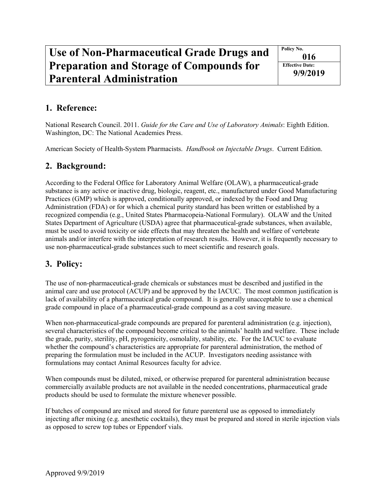## **Use of Non-Pharmaceutical Grade Drugs and Preparation and Storage of Compounds for Parenteral Administration**

**Policy No. 016 Effective Date: 9/9/2019**

## **1. Reference:**

National Research Council. 2011. *Guide for the Care and Use of Laboratory Animals*: Eighth Edition. Washington, DC: The National Academies Press.

American Society of Health-System Pharmacists. *Handbook on Injectable Drugs*. Current Edition.

## **2. Background:**

According to the Federal Office for Laboratory Animal Welfare (OLAW), a pharmaceutical-grade substance is any active or inactive drug, biologic, reagent, etc., manufactured under Good Manufacturing Practices (GMP) which is approved, conditionally approved, or indexed by the Food and Drug Administration (FDA) or for which a chemical purity standard has been written or established by a recognized compendia (e.g., United States Pharmacopeia-National Formulary). OLAW and the United States Department of Agriculture (USDA) agree that pharmaceutical-grade substances, when available, must be used to avoid toxicity or side effects that may threaten the health and welfare of vertebrate animals and/or interfere with the interpretation of research results. However, it is frequently necessary to use non-pharmaceutical-grade substances such to meet scientific and research goals.

## **3. Policy:**

The use of non-pharmaceutical-grade chemicals or substances must be described and justified in the animal care and use protocol (ACUP) and be approved by the IACUC. The most common justification is lack of availability of a pharmaceutical grade compound. It is generally unacceptable to use a chemical grade compound in place of a pharmaceutical-grade compound as a cost saving measure.

When non-pharmaceutical-grade compounds are prepared for parenteral administration (e.g. injection), several characteristics of the compound become critical to the animals' health and welfare. These include the grade, purity, sterility, pH, pyrogenicity, osmolality, stability, etc. For the IACUC to evaluate whether the compound's characteristics are appropriate for parenteral administration, the method of preparing the formulation must be included in the ACUP. Investigators needing assistance with formulations may contact Animal Resources faculty for advice.

When compounds must be diluted, mixed, or otherwise prepared for parenteral administration because commercially available products are not available in the needed concentrations, pharmaceutical grade products should be used to formulate the mixture whenever possible.

If batches of compound are mixed and stored for future parenteral use as opposed to immediately injecting after mixing (e.g. anesthetic cocktails), they must be prepared and stored in sterile injection vials as opposed to screw top tubes or Eppendorf vials.